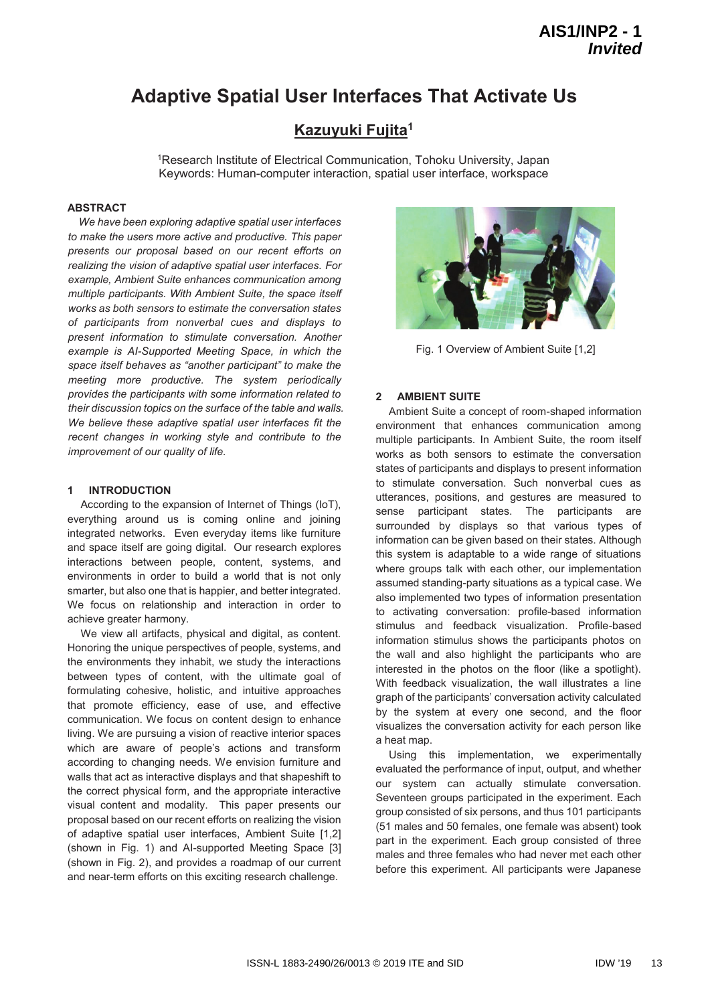# **Adaptive Spatial User Interfaces That Activate Us**

# **Kazuyuki Fujita1**

1Research Institute of Electrical Communication, Tohoku University, Japan Keywords: Human-computer interaction, spatial user interface, workspace

### **ABSTRACT**

*We have been exploring adaptive spatial user interfaces to make the users more active and productive. This paper presents our proposal based on our recent efforts on realizing the vision of adaptive spatial user interfaces. For example, Ambient Suite enhances communication among multiple participants. With Ambient Suite, the space itself works as both sensors to estimate the conversation states of participants from nonverbal cues and displays to present information to stimulate conversation. Another example is AI-Supported Meeting Space, in which the space itself behaves as "another participant" to make the meeting more productive. The system periodically provides the participants with some information related to their discussion topics on the surface of the table and walls. We believe these adaptive spatial user interfaces fit the recent changes in working style and contribute to the improvement of our quality of life.* 

## **1 INTRODUCTION**

According to the expansion of Internet of Things (IoT), everything around us is coming online and joining integrated networks. Even everyday items like furniture and space itself are going digital. Our research explores interactions between people, content, systems, and environments in order to build a world that is not only smarter, but also one that is happier, and better integrated. We focus on relationship and interaction in order to achieve greater harmony.

We view all artifacts, physical and digital, as content. Honoring the unique perspectives of people, systems, and the environments they inhabit, we study the interactions between types of content, with the ultimate goal of formulating cohesive, holistic, and intuitive approaches that promote efficiency, ease of use, and effective communication. We focus on content design to enhance living. We are pursuing a vision of reactive interior spaces which are aware of people's actions and transform according to changing needs. We envision furniture and walls that act as interactive displays and that shapeshift to the correct physical form, and the appropriate interactive visual content and modality. This paper presents our proposal based on our recent efforts on realizing the vision of adaptive spatial user interfaces, Ambient Suite [1,2] (shown in Fig. 1) and AI-supported Meeting Space [3] (shown in Fig. 2), and provides a roadmap of our current and near-term efforts on this exciting research challenge.



Fig. 1 Overview of Ambient Suite [1,2]

#### **2 AMBIENT SUITE**

Ambient Suite a concept of room-shaped information environment that enhances communication among multiple participants. In Ambient Suite, the room itself works as both sensors to estimate the conversation states of participants and displays to present information to stimulate conversation. Such nonverbal cues as utterances, positions, and gestures are measured to sense participant states. The participants are surrounded by displays so that various types of information can be given based on their states. Although this system is adaptable to a wide range of situations where groups talk with each other, our implementation assumed standing-party situations as a typical case. We also implemented two types of information presentation to activating conversation: profile-based information stimulus and feedback visualization. Profile-based information stimulus shows the participants photos on the wall and also highlight the participants who are interested in the photos on the floor (like a spotlight). With feedback visualization, the wall illustrates a line graph of the participants' conversation activity calculated by the system at every one second, and the floor visualizes the conversation activity for each person like a heat map.

Using this implementation, we experimentally evaluated the performance of input, output, and whether our system can actually stimulate conversation. Seventeen groups participated in the experiment. Each group consisted of six persons, and thus 101 participants (51 males and 50 females, one female was absent) took part in the experiment. Each group consisted of three males and three females who had never met each other before this experiment. All participants were Japanese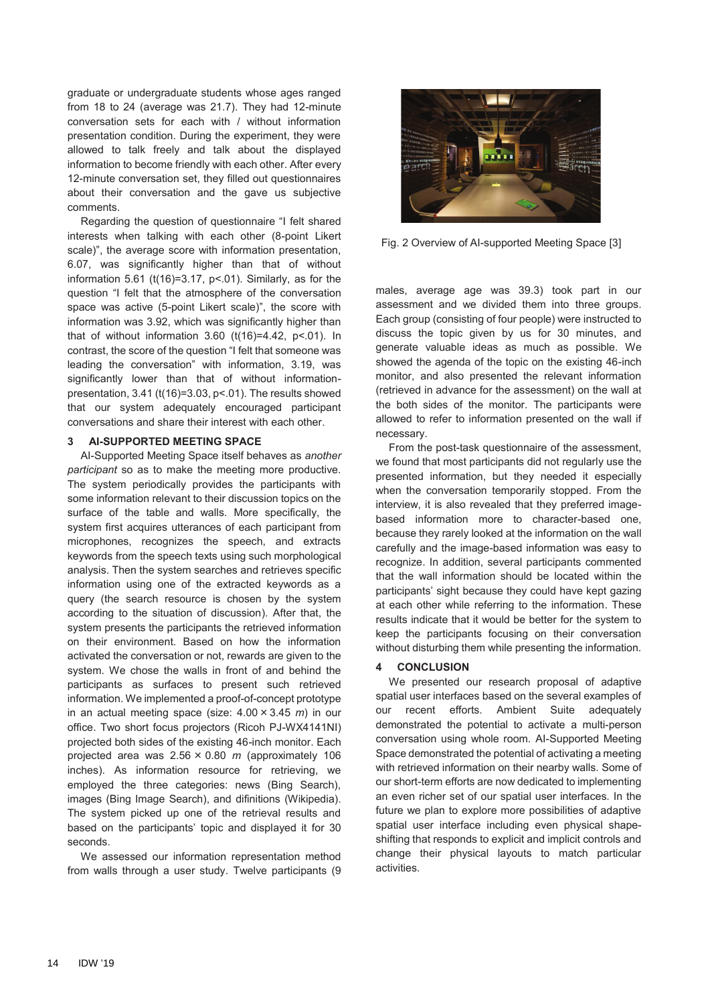graduate or undergraduate students whose ages ranged from 18 to 24 (average was 21.7). They had 12-minute conversation sets for each with / without information presentation condition. During the experiment, they were allowed to talk freely and talk about the displayed information to become friendly with each other. After every 12-minute conversation set, they filled out questionnaires about their conversation and the gave us subjective comments.

Regarding the question of questionnaire "I felt shared interests when talking with each other (8-point Likert scale)", the average score with information presentation, 6.07, was significantly higher than that of without information 5.61 (t(16)=3.17,  $p$ <.01). Similarly, as for the question "I felt that the atmosphere of the conversation space was active (5-point Likert scale)", the score with information was 3.92, which was significantly higher than that of without information  $3.60$  (t(16)=4.42, p<.01). In contrast, the score of the question "I felt that someone was leading the conversation" with information, 3.19, was significantly lower than that of without informationpresentation, 3.41 (t(16)=3.03, p<.01). The results showed that our system adequately encouraged participant conversations and share their interest with each other.

#### **3 AI-SUPPORTED MEETING SPACE**

AI-Supported Meeting Space itself behaves as *another participant* so as to make the meeting more productive. The system periodically provides the participants with some information relevant to their discussion topics on the surface of the table and walls. More specifically, the system first acquires utterances of each participant from microphones, recognizes the speech, and extracts keywords from the speech texts using such morphological analysis. Then the system searches and retrieves specific information using one of the extracted keywords as a query (the search resource is chosen by the system according to the situation of discussion). After that, the system presents the participants the retrieved information on their environment. Based on how the information activated the conversation or not, rewards are given to the system. We chose the walls in front of and behind the participants as surfaces to present such retrieved information. We implemented a proof-of-concept prototype in an actual meeting space (size:  $4.00 \times 3.45$  *m*) in our office. Two short focus projectors (Ricoh PJ-WX4141NI) projected both sides of the existing 46-inch monitor. Each projected area was  $2.56 \times 0.80$  *m* (approximately 106 inches). As information resource for retrieving, we employed the three categories: news (Bing Search), images (Bing Image Search), and difinitions (Wikipedia). The system picked up one of the retrieval results and based on the participants' topic and displayed it for 30 seconds.

We assessed our information representation method from walls through a user study. Twelve participants (9



Fig. 2 Overview of AI-supported Meeting Space [3]

males, average age was 39.3) took part in our assessment and we divided them into three groups. Each group (consisting of four people) were instructed to discuss the topic given by us for 30 minutes, and generate valuable ideas as much as possible. We showed the agenda of the topic on the existing 46-inch monitor, and also presented the relevant information (retrieved in advance for the assessment) on the wall at the both sides of the monitor. The participants were allowed to refer to information presented on the wall if necessary.

From the post-task questionnaire of the assessment, we found that most participants did not regularly use the presented information, but they needed it especially when the conversation temporarily stopped. From the interview, it is also revealed that they preferred imagebased information more to character-based one, because they rarely looked at the information on the wall carefully and the image-based information was easy to recognize. In addition, several participants commented that the wall information should be located within the participants' sight because they could have kept gazing at each other while referring to the information. These results indicate that it would be better for the system to keep the participants focusing on their conversation without disturbing them while presenting the information.

#### **4 CONCLUSION**

We presented our research proposal of adaptive spatial user interfaces based on the several examples of our recent efforts. Ambient Suite adequately demonstrated the potential to activate a multi-person conversation using whole room. AI-Supported Meeting Space demonstrated the potential of activating a meeting with retrieved information on their nearby walls. Some of our short-term efforts are now dedicated to implementing an even richer set of our spatial user interfaces. In the future we plan to explore more possibilities of adaptive spatial user interface including even physical shapeshifting that responds to explicit and implicit controls and change their physical layouts to match particular activities.